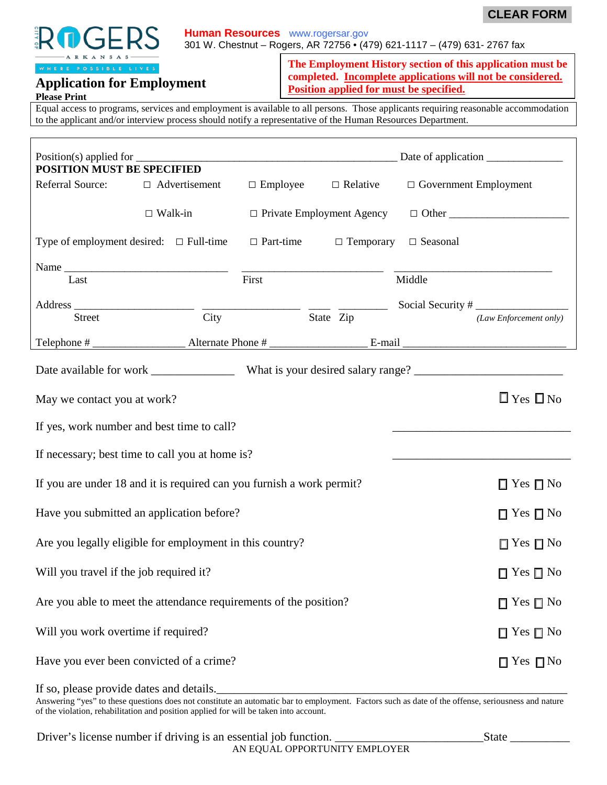



#### **Human Resources** www.rogersar.gov

301 W. Chestnut – Rogers, AR 72756 • (479) 621-1117 – (479) 631- 2767 fax

**The Employment History section of this application must be completed. Incomplete applications will not be considered. Position applied for must be specified.**

Equal access to programs, services and employment is available to all persons. Those applicants requiring reasonable accommodation to the applicant and/or interview process should notify a representative of the Human Resources Department.

| <b>POSITION MUST BE SPECIFIED</b>                                     |                      |                      |                                 |                              |                        |  |
|-----------------------------------------------------------------------|----------------------|----------------------|---------------------------------|------------------------------|------------------------|--|
| Referral Source:                                                      | $\Box$ Advertisement |                      | $\Box$ Employee $\Box$ Relative | $\Box$ Government Employment |                        |  |
|                                                                       | $\Box$ Walk-in       |                      |                                 |                              |                        |  |
| Type of employment desired: $\Box$ Full-time $\Box$ Part-time         |                      |                      | $\Box$ Temporary                | □ Seasonal                   |                        |  |
| Last                                                                  |                      | First                |                                 | Middle                       |                        |  |
| <b>Street</b>                                                         | City                 |                      | State Zip                       | Social Security #            | (Law Enforcement only) |  |
|                                                                       |                      |                      |                                 |                              |                        |  |
|                                                                       |                      |                      |                                 |                              |                        |  |
| May we contact you at work?                                           |                      |                      |                                 |                              | $\Box$ Yes $\Box$ No   |  |
| If yes, work number and best time to call?                            |                      |                      |                                 |                              |                        |  |
| If necessary; best time to call you at home is?                       |                      |                      |                                 |                              |                        |  |
| If you are under 18 and it is required can you furnish a work permit? |                      |                      | $\Box$ Yes $\Box$ No            |                              |                        |  |
| Have you submitted an application before?                             |                      |                      | $\Box$ Yes $\Box$ No            |                              |                        |  |
| Are you legally eligible for employment in this country?              |                      |                      | $\Box$ Yes $\Box$ No            |                              |                        |  |
| Will you travel if the job required it?                               |                      |                      |                                 |                              | $\Box$ Yes $\Box$ No   |  |
| Are you able to meet the attendance requirements of the position?     |                      |                      |                                 |                              | $\Box$ Yes $\Box$ No   |  |
| Will you work overtime if required?                                   |                      | $\Box$ Yes $\Box$ No |                                 |                              |                        |  |
| Have you ever been convicted of a crime?                              |                      |                      |                                 |                              | $\Box$ Yes $\Box$ No   |  |

If so, please provide dates and details.

Answering "yes" to these questions does not constitute an automatic bar to employment. Factors such as date of the offense, seriousness and nature of the violation, rehabilitation and position applied for will be taken into account.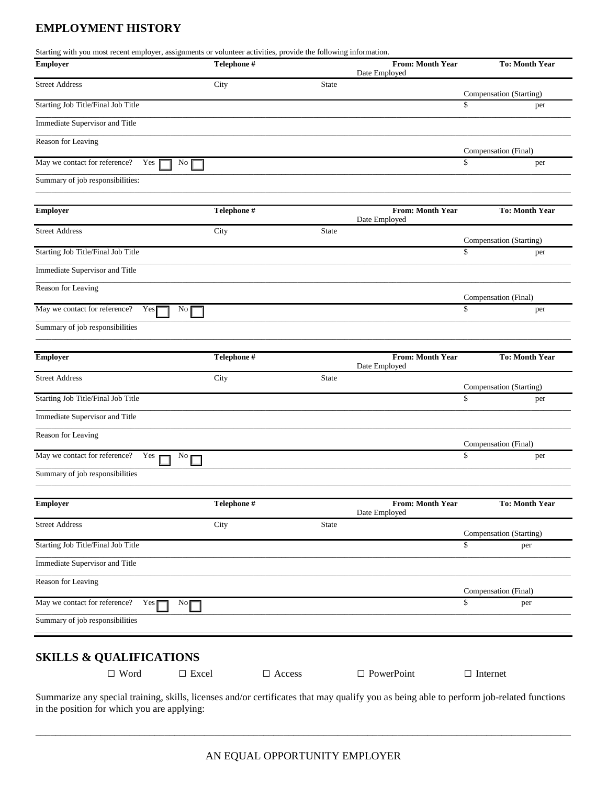# **EMPLOYMENT HISTORY**

| Starting with you most recent employer, assignments or volunteer activities, provide the following information.<br>Employer | Telephone #       |               |              | <b>From: Month Year</b><br>Date Employed |                 | <b>To: Month Year</b>       |
|-----------------------------------------------------------------------------------------------------------------------------|-------------------|---------------|--------------|------------------------------------------|-----------------|-----------------------------|
| <b>Street Address</b>                                                                                                       | City              |               | State        |                                          |                 | Compensation (Starting)     |
| Starting Job Title/Final Job Title                                                                                          |                   |               |              |                                          | \$              | per                         |
| Immediate Supervisor and Title                                                                                              |                   |               |              |                                          |                 |                             |
| Reason for Leaving                                                                                                          |                   |               |              |                                          |                 |                             |
| May we contact for reference?<br>Yes                                                                                        | No                |               |              |                                          | \$              | Compensation (Final)<br>per |
| Summary of job responsibilities:                                                                                            |                   |               |              |                                          |                 |                             |
| Employer                                                                                                                    | Telephone #       |               |              | <b>From: Month Year</b>                  |                 | <b>To: Month Year</b>       |
| <b>Street Address</b>                                                                                                       | City              |               | <b>State</b> | Date Employed                            |                 |                             |
|                                                                                                                             |                   |               |              |                                          |                 | Compensation (Starting)     |
| Starting Job Title/Final Job Title                                                                                          |                   |               |              |                                          | \$              | per                         |
| Immediate Supervisor and Title                                                                                              |                   |               |              |                                          |                 |                             |
| Reason for Leaving                                                                                                          |                   |               |              |                                          |                 | Compensation (Final)        |
| May we contact for reference?<br>Yes                                                                                        | $\rm No$          |               |              |                                          | \$              | per                         |
| Summary of job responsibilities                                                                                             |                   |               |              |                                          |                 |                             |
| <b>Employer</b>                                                                                                             | Telephone #       |               |              | <b>From: Month Year</b><br>Date Employed |                 | <b>To: Month Year</b>       |
| <b>Street Address</b>                                                                                                       | City              |               | State        |                                          |                 | Compensation (Starting)     |
| Starting Job Title/Final Job Title                                                                                          |                   |               |              |                                          | \$              | per                         |
| Immediate Supervisor and Title                                                                                              |                   |               |              |                                          |                 |                             |
| Reason for Leaving                                                                                                          |                   |               |              |                                          |                 |                             |
| May we contact for reference?<br>Yes 1                                                                                      | No $\blacksquare$ |               |              |                                          | \$              | Compensation (Final)<br>per |
| Summary of job responsibilities                                                                                             |                   |               |              |                                          |                 |                             |
| <b>Employer</b>                                                                                                             | Telephone #       |               |              | From: Month Year                         |                 | <b>To: Month Year</b>       |
| <b>Street Address</b>                                                                                                       | City              |               | State        | Date Employed                            |                 |                             |
|                                                                                                                             |                   |               |              |                                          |                 | Compensation (Starting)     |
| Starting Job Title/Final Job Title                                                                                          |                   |               |              |                                          | \$              | per                         |
| Immediate Supervisor and Title                                                                                              |                   |               |              |                                          |                 |                             |
| Reason for Leaving                                                                                                          |                   |               |              |                                          |                 | Compensation (Final)        |
| May we contact for reference?<br>$Yes \Gamma$                                                                               | No                |               |              |                                          | \$              | per                         |
| Summary of job responsibilities                                                                                             |                   |               |              |                                          |                 |                             |
|                                                                                                                             |                   |               |              |                                          |                 |                             |
|                                                                                                                             |                   |               |              |                                          |                 |                             |
| <b>SKILLS &amp; QUALIFICATIONS</b><br>$\Box$ Word                                                                           | $\Box$ Excel      | $\Box$ Access |              | $\Box$ PowerPoint                        | $\Box$ Internet |                             |

AN EQUAL OPPORTUNITY EMPLOYER

\_\_\_\_\_\_\_\_\_\_\_\_\_\_\_\_\_\_\_\_\_\_\_\_\_\_\_\_\_\_\_\_\_\_\_\_\_\_\_\_\_\_\_\_\_\_\_\_\_\_\_\_\_\_\_\_\_\_\_\_\_\_\_\_\_\_\_\_\_\_\_\_\_\_\_\_\_\_\_\_\_\_\_\_\_\_\_\_\_\_\_\_\_\_\_\_\_\_\_\_\_\_\_\_\_\_\_\_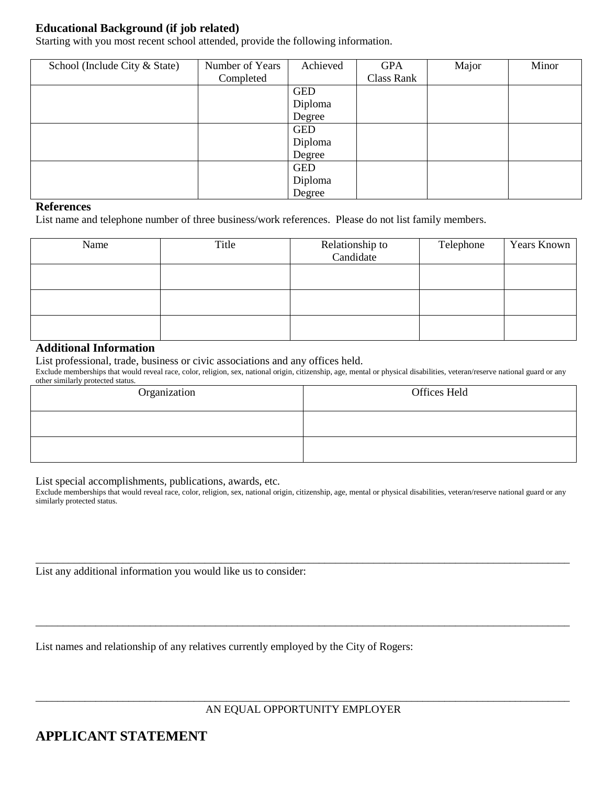## **Educational Background (if job related)**

Starting with you most recent school attended, provide the following information.

| School (Include City & State) | Number of Years | Achieved   | <b>GPA</b> | Major | Minor |
|-------------------------------|-----------------|------------|------------|-------|-------|
|                               | Completed       |            | Class Rank |       |       |
|                               |                 | <b>GED</b> |            |       |       |
|                               |                 | Diploma    |            |       |       |
|                               |                 | Degree     |            |       |       |
|                               |                 | <b>GED</b> |            |       |       |
|                               |                 | Diploma    |            |       |       |
|                               |                 | Degree     |            |       |       |
|                               |                 | <b>GED</b> |            |       |       |
|                               |                 | Diploma    |            |       |       |
|                               |                 | Degree     |            |       |       |

#### **References**

List name and telephone number of three business/work references. Please do not list family members.

| Name | Title | Relationship to<br>Candidate | Telephone | Years Known |
|------|-------|------------------------------|-----------|-------------|
|      |       |                              |           |             |
|      |       |                              |           |             |
|      |       |                              |           |             |

### **Additional Information**

List professional, trade, business or civic associations and any offices held.

Exclude memberships that would reveal race, color, religion, sex, national origin, citizenship, age, mental or physical disabilities, veteran/reserve national guard or any other similarly protected status.

| Organization | Offices Held |
|--------------|--------------|
|              |              |
|              |              |

List special accomplishments, publications, awards, etc.

Exclude memberships that would reveal race, color, religion, sex, national origin, citizenship, age, mental or physical disabilities, veteran/reserve national guard or any similarly protected status.

\_\_\_\_\_\_\_\_\_\_\_\_\_\_\_\_\_\_\_\_\_\_\_\_\_\_\_\_\_\_\_\_\_\_\_\_\_\_\_\_\_\_\_\_\_\_\_\_\_\_\_\_\_\_\_\_\_\_\_\_\_\_\_\_\_\_\_\_\_\_\_\_\_\_\_\_\_\_\_\_\_\_\_\_\_\_\_\_\_\_\_\_\_\_\_\_\_\_

\_\_\_\_\_\_\_\_\_\_\_\_\_\_\_\_\_\_\_\_\_\_\_\_\_\_\_\_\_\_\_\_\_\_\_\_\_\_\_\_\_\_\_\_\_\_\_\_\_\_\_\_\_\_\_\_\_\_\_\_\_\_\_\_\_\_\_\_\_\_\_\_\_\_\_\_\_\_\_\_\_\_\_\_\_\_\_\_\_\_\_\_\_\_\_\_\_\_

List any additional information you would like us to consider:

List names and relationship of any relatives currently employed by the City of Rogers:

\_\_\_\_\_\_\_\_\_\_\_\_\_\_\_\_\_\_\_\_\_\_\_\_\_\_\_\_\_\_\_\_\_\_\_\_\_\_\_\_\_\_\_\_\_\_\_\_\_\_\_\_\_\_\_\_\_\_\_\_\_\_\_\_\_\_\_\_\_\_\_\_\_\_\_\_\_\_\_\_\_\_\_\_\_\_\_\_\_\_\_\_\_\_\_\_\_\_ AN EQUAL OPPORTUNITY EMPLOYER

# **APPLICANT STATEMENT**